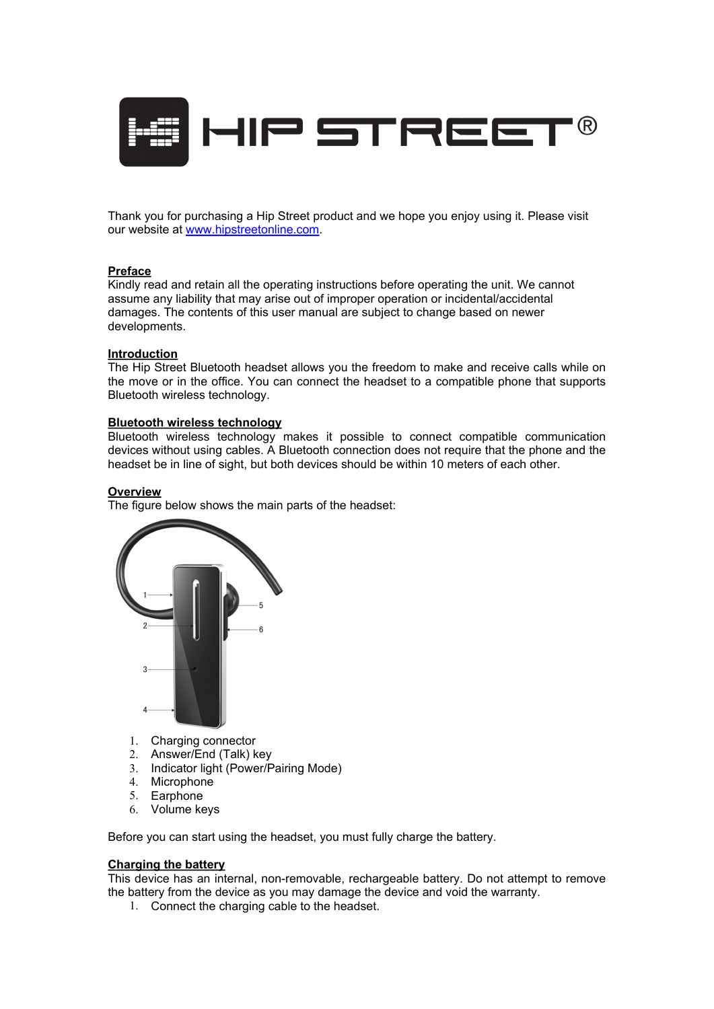

Thank you for purchasing a Hip Street product and we hope you enjoy using it. Please visit our website at [www.hipstreetonline.com](http://www.hipstreetonline.com).

#### **Preface**

Kindly read and retain all the operating instructions before operating the unit. We cannot assume any liability that may arise out of improper operation or incidental/accidental damages. The contents of this user manual are subject to change based on newer developments.

#### **Introduction**

The Hip Street Bluetooth headset allows you the freedom to make and receive calls while on the move or in the office. You can connect the headset to a compatible phone that supports Bluetooth wireless technology.

#### **Bluetooth wireless technology**

Bluetooth wireless technology makes it possible to connect compatible communication devices without using cables. A Bluetooth connection does not require that the phone and the headset be in line of sight, but both devices should be within 10 meters of each other.

#### **Overview**

The figure below shows the main parts of the headset:



- 1. Charging connector
- 2. Answer/End (Talk) key
- 3. Indicator light (Power/Pairing Mode)
- 4. Microphone
- 5. Earphone
- 6. Volume keys

Before you can start using the headset, you must fully charge the battery.

# **Charging the battery**

This device has an internal, non-removable, rechargeable battery. Do not attempt to remove the battery from the device as you may damage the device and void the warranty.

1. Connect the charging cable to the headset.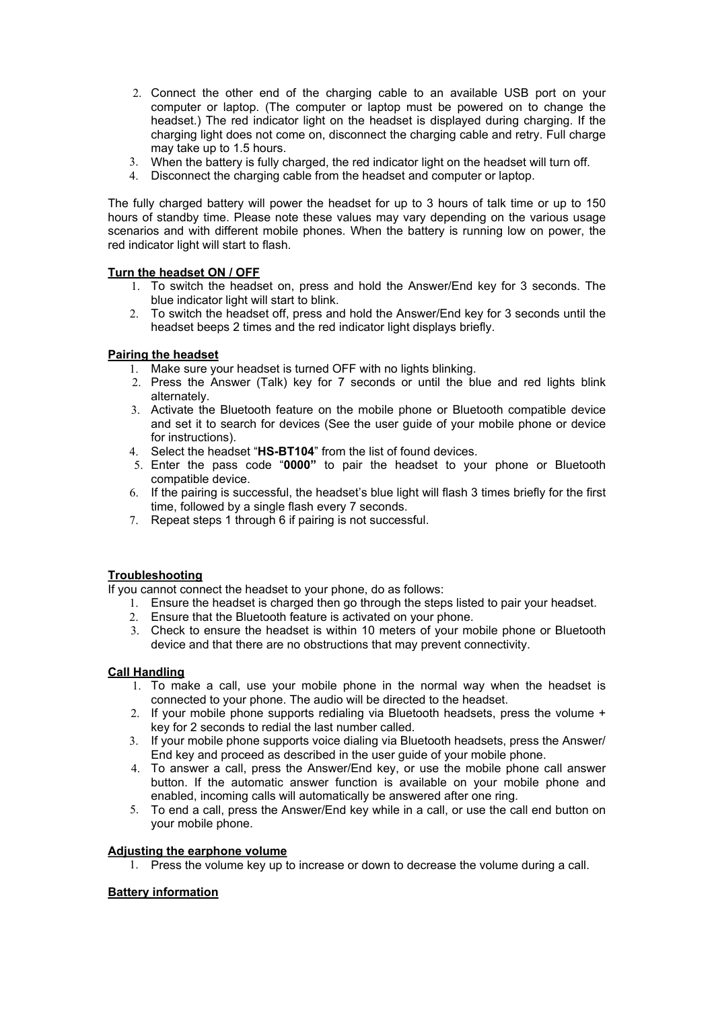- 2. Connect the other end of the charging cable to an available USB port on your computer or laptop. (The computer or laptop must be powered on to change the headset.) The red indicator light on the headset is displayed during charging. If the charging light does not come on, disconnect the charging cable and retry. Full charge may take up to 1.5 hours.
- 3. When the battery is fully charged, the red indicator light on the headset will turn off.
- 4. Disconnect the charging cable from the headset and computer or laptop.

The fully charged battery will power the headset for up to 3 hours of talk time or up to 150 hours of standby time. Please note these values may vary depending on the various usage scenarios and with different mobile phones. When the battery is running low on power, the red indicator light will start to flash.

## **Turn the headset ON / OFF**

- 1. To switch the headset on, press and hold the Answer/End key for 3 seconds. The blue indicator light will start to blink.
- 2. To switch the headset off, press and hold the Answer/End key for 3 seconds until the headset beeps 2 times and the red indicator light displays briefly.

## **Pairing the headset**

- 1. Make sure your headset is turned OFF with no lights blinking.
- 2. Press the Answer (Talk) key for 7 seconds or until the blue and red lights blink alternately.
- 3. Activate the Bluetooth feature on the mobile phone or Bluetooth compatible device and set it to search for devices (See the user guide of your mobile phone or device for instructions).
- 4. Select the headset "**HS-BT104**" from the list of found devices.
- 5. Enter the pass code "**0000"** to pair the headset to your phone or Bluetooth compatible device.
- 6. If the pairing is successful, the headset's blue light will flash 3 times briefly for the first time, followed by a single flash every 7 seconds.
- 7. Repeat steps 1 through 6 if pairing is not successful.

## **Troubleshooting**

If you cannot connect the headset to your phone, do as follows:

- 1. Ensure the headset is charged then go through the steps listed to pair your headset.
- 2. Ensure that the Bluetooth feature is activated on your phone.
- 3. Check to ensure the headset is within 10 meters of your mobile phone or Bluetooth device and that there are no obstructions that may prevent connectivity.

## **Call Handling**

- 1. To make a call, use your mobile phone in the normal way when the headset is connected to your phone. The audio will be directed to the headset.
- 2. If your mobile phone supports redialing via Bluetooth headsets, press the volume + key for 2 seconds to redial the last number called.
- 3. If your mobile phone supports voice dialing via Bluetooth headsets, press the Answer/ End key and proceed as described in the user guide of your mobile phone.
- 4. To answer a call, press the Answer/End key, or use the mobile phone call answer button. If the automatic answer function is available on your mobile phone and enabled, incoming calls will automatically be answered after one ring.
- 5. To end a call, press the Answer/End key while in a call, or use the call end button on your mobile phone.

## **Adjusting the earphone volume**

1. Press the volume key up to increase or down to decrease the volume during a call.

## **Battery information**